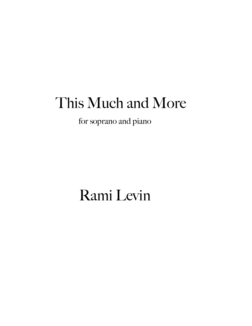## This Much and More

for soprano and piano

# Rami Levin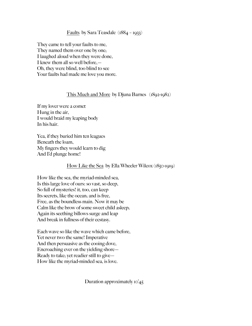Faults by Sara Teasdale (1884 – 1933)

They came to tell your faults to me, They named them over one by one; I laughed aloud when they were done, I knew them all so well before,— Oh, they were blind, too blind to see Your faults had made me love you more.

#### This Much and More by Djuna Barnes (1892-1982)

If my lover were a comet Hung in the air, I would braid my leaping body In his hair.

Yea, if they buried him ten leagues Beneath the loam, My fingers they would learn to dig And I'd plunge home!

#### How Like the Sea by Ella Wheeler Wilcox (1850-1919)

How like the sea, the myriad-minded sea, Is this large love of ours: so vast, so deep, So full of mysteries! it, too, can keep Its secrets, like the ocean; and is free, Free, as the boundless main. Now it may be Calm like the brow of some sweet child asleep; Again its seething billows surge and leap And break in fullness of their ecstasy.

Each wave so like the wave which came before, Yet never two the same! Imperative And then persuasive as the cooing dove, Encroaching ever on the yielding shore— Ready to take; yet readier still to give— How like the myriad-minded sea, is love.

Duration approximately  $10<sup>2</sup>45$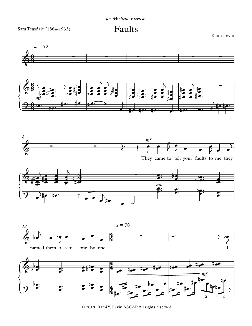for Michelle Fier<br>a Teasdale (1884-1933)



Rami Levin







© <sup>2018</sup> RamiY. Levin ASCAP All rights reserved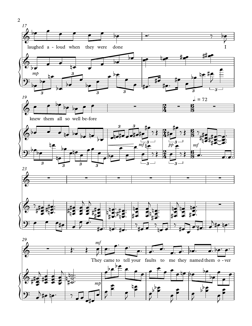

 $\overline{\mathbf{P}}$ 

œ

œ#œ

œ

 $\overline{2}$ 

J

œ  $\overline{2}$ 

œ  $\overline{7}$ 

 $\bar{\bm{\triangledown}}$ 

œ  $\overline{7}$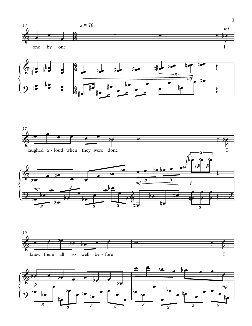



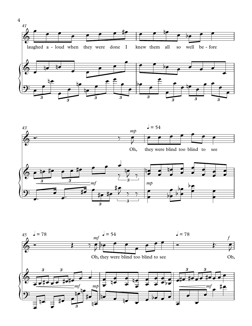





 $\overline{4}$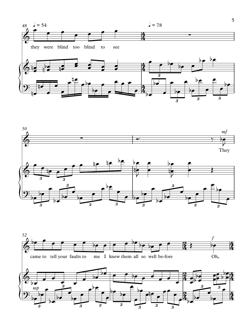



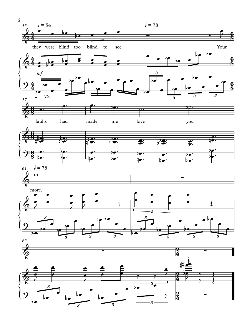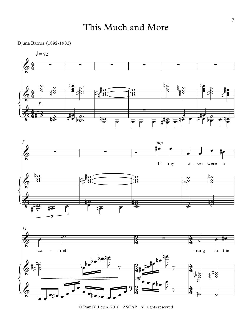### This Much and More

Djuna Barnes (1892-1982)



© RamiY. Levin <sup>2018</sup> ASCAP All rights reserved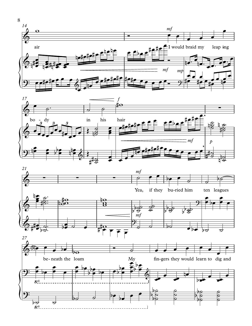







 $8\,$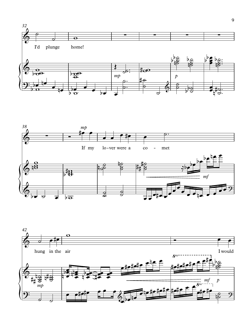



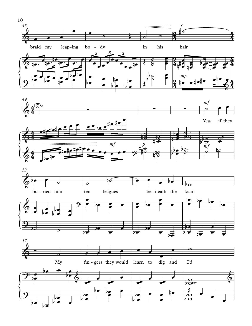





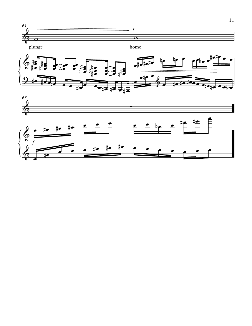

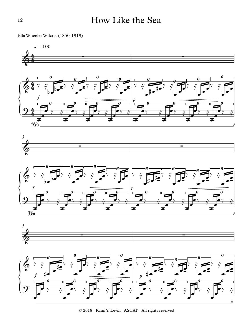EllaWheelerWilcox (1850-1919)







<sup>©</sup> <sup>2018</sup> RamiY. Levin ASCAP All rights reserved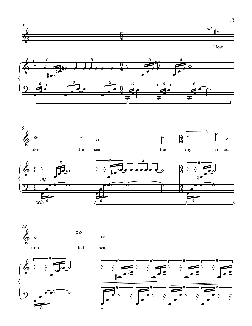



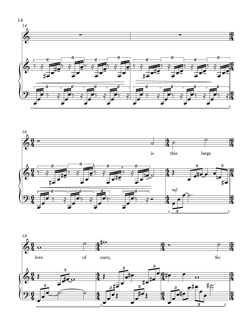



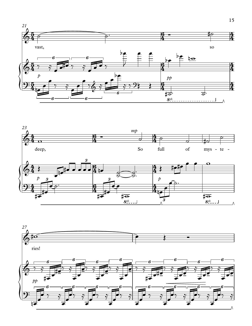



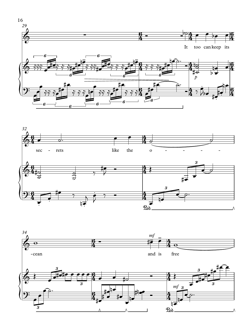



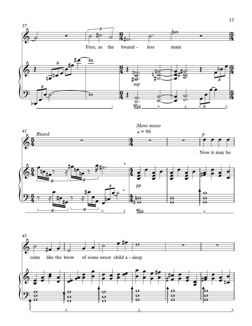





 $17\,$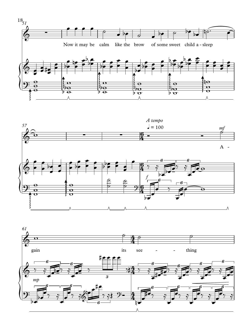



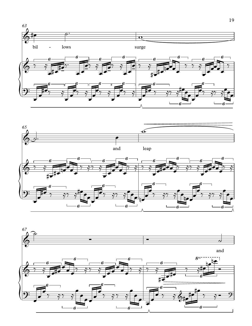



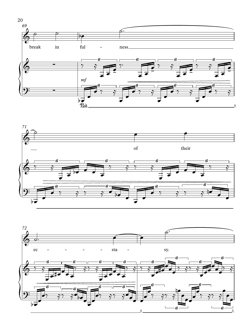



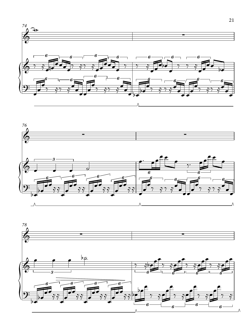



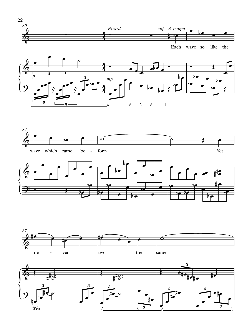



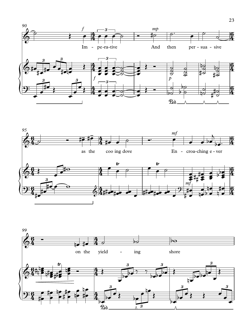



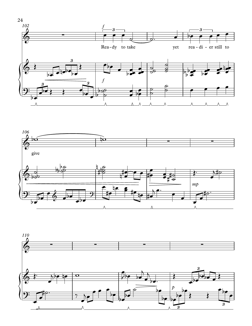



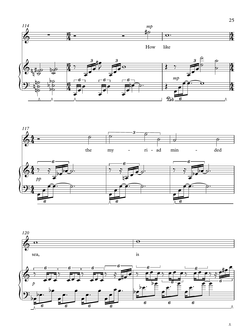





Λ